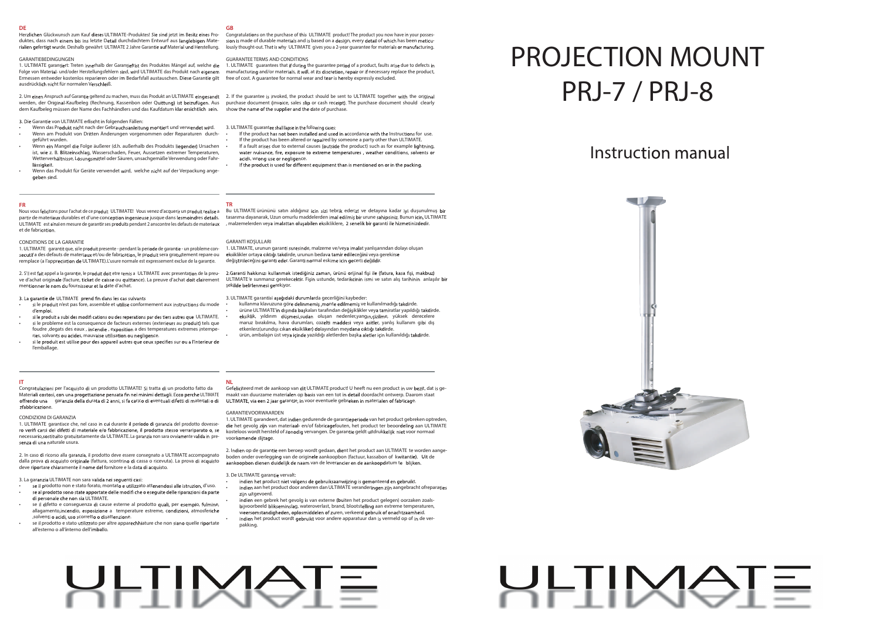## PROJECTION MOUNT PRJ-7 / PRJ-8



#### **TR**

#### GARANTİ KOŞULLARI

1. ULTIMATE, urunun garanti suresinde, malzeme ve/veya imalat yanlışarından dolayı oluşan değiştirileceğini garanti eder. Garanti normal eskime icin gecerli değildir

2.Garanti hakkınızı kullanmak istediğiniz zaman, ürünü orijinal fişi ile (fatura, kasa fişi, makbuz) ve d'achat originale (facture, ticket de caisse ou quittance). La preuve d'achat doit clairement ULTIMATE 'e sunmanız gerekecektir. Fişin ustunde, tedarikcinin ismi ve satın alış tarihinin anlaşılır şekilde belirlenmesi gerekiyor.

#### 3. ULTIMATE garantisi aşağıdaki durumlarda gecerliğini kaybeder:

- kullanma klavuzuna göre delinmemiş , monte edilmemiş ve kullanılmadığı takdirde.
- ürüne ULTIMATE'in dışında başkaları tarafından değişiklikler veya tamiratlar yapıldığı takdirde. eksiklik, yıldırım düşmesi,sudan oluşan nedenler,yangın,çizilme, yüksek derecelere
- maruz bırakılma, hava durumları, cozelti maddesi veya asitler, yanlış kullanım gibi dış etkenlerz(urundışı cıkan eksikliker) dolayından meydana cıktığı takdirde
- ürün, ambalajın üst veya içinde yazıldığı aletlerden başka aletler için kullanıldığı takdirde.

**GB**

**FR**<br>Nous vous felicitons pour l'achat de ce produit ULTIMATE! Vous venez d'acquerir un produit realise a Bu ULTIMATE ürününü satın aldığınız icin sizi tebrik ederiz! ve detayına kadar iyi duşunulmuş partir de materiaux durables et d'une conception ingenieuse jusque dans lesmoindres details. tasarıma dayanarak, Uzun omurlu maddelerden imal edilmiş bir urune sahipsiniz. Bunun icin, ULTIMATE ULTIMATE est ainsi en mesure de garantir ses produits pendant 2 anscontre les defauts de materiaux , malzemelerden veya imalattan oluşabilen eksikliklere, 2 senelik bir garanti ile hizmetinizdedir. Nous vous felicitons pour l'achat de ce produit ULTIMATE! Vous venez d'acquerir un produit realise a et de fabrication.

#### GUARANTEE TERMS AND CONDITIONS

1. ULTIMATE guarantees that if during the guarantee period of a product, faults arise due to defects in manufacturing and/or materials, it will, at its discretion, repair or if necessary replace the product,

2. Um einen Anspruch auf Garantie geltend zu machen, muss das Produkt an ULTIMATE eingesandt 2. If the guarantee is invoked, the product should be sent to ULTIMATE together with the orig werden, der Original-Kaufbeleg (Rechnung, Kassenbon oder Quittung) ist beizufügen. Aus purchase document (invoice, sales slip or cash receipt). The purchase document should clearly show the name of the supplier and the date of purchase.

3. ULTIMATE guarantee shall lapse in the following cases:

- If the product has not been installed and used in accordance with the Instructions for use. If the product has been altered or repaired by someone a party other than ULTIMATE.
- If a fault arises due to external causes (outside the product) such as for example lightning water nuisance, fire, exposure to extreme temperatures, weather conditions, solvents or acids, wrong use or negligence.
- If the product is used for different equipment than is mentioned on or in the packing

#### **DE**

Herzlichen Glückwunsch zum Kauf dieses ULTIMATE-Produktes! Sie sind jetzt im Besitz eines Pro- Congratulations on the purchase of this ULTIMATE product! The product you now have in your possesduktes, dass nach einem bis ins letzte Detail durchdachtem Entwurf aus langlebigen Mate-

- si le produit n'est pas fore, assemble et utilise conformement aux instructions du mode d'
- si le produit a subi des modifications ou des reperations par des tiers autres que ULTIMATE. • si le probleme est la consequence de facteurs externes (exterieurs au produit) tels que foudre , degats des eaux , incendie , exposition a des temperatures extremes intempe-
- ries, solvants ou acides, mauvaise utilisation ou negligence.<br>si le produit est utilise pour des appareil autres que ceux specifies sur ou a l'interieur de • l'emballage.

#### GARANTIEBEDINGUNGEN

Ermessen entweder kostenlos reparieren oder im Bedarfsfall austauschen. Diese Garantie gilt free of cost. A guarantee for normal wear and tear is hereby expressly excluded. 1. ULTIMATE garantiert: Treten innerhalb der Garantiefrist des Produktes Mängel auf, welche die Folge von Material- und/oder Herstellungsfehlern sind, wird ULTIMATE das Produkt nach eigenem ausdrücklich nicht für normalen Verschleiß.

dem Kaufbeleg müssen der Name des Fachhändlers und das Kaufdatum klar ersichtlich sein.

3. Die Garantie von ULTIMATE erlischt in folgenden Fällen:

- Wenn das Produkt nicht nach der Gebrauchsanleitung montiert und verwendet wird. Wenn am Produkt von Dritten Änderungen vorgenommen oder Reparaturen durchgeführt wurden.
- •<br>Wenn ein Mangel die Folge äußerer (d.h. außerhalb des Produkts liegender) Ursachen ist, wie z. B. Blitzeinschlag, Wasserschaden, Feuer, Aussetzen extremer Temperaturen, Wetterverhältnisse, Lösungsmittel oder Säuren, unsachgemäße Verwendung oder Fahrlässigkeit.
- Wenn das Produkt für Geräte verwendet wird, welche nicht auf der Verpackung angegeben sind.

sion is made of durable materials and is based on a design, every detail of which has been meticurialien gefertigt wurde. Deshalb gewährt ULTIMATE 2 Jahre Garantie auf Material und Herstellung. kouly thought-out. That is why ULTIMATE gives you a 2-year guarantee for materials or manufacturing.

#### CONDITIONS DE LA GARANTIE

a des defauts de materiaux et/ou de fabrication, le produit sera gratuitement repare ou eksiklikler ortaya cıktığı takdirde, urunun bedava tamir edileceğini veya gerek 1. ULTIMATE garantit que, si le produit presente - pendant la periode de garantie - un probleme conremplace (a l'appreciation de ULTIMATE). L'usure normale est expressement exclue de la garantie.

2. S'il est fait appel a la garantie, le produit doit etre remis a ULTIMATE avec presentation de la preumentionner le nom du fournisseur et la date d'achat

3. La garantie de ULTIMATE prend fin dans les cas suivants

#### **IT**

Congratulazioni per l'acquisto di un prodotto ULTIMATE! Si tratta di un prodotto fatto da Materiali costosi, con una progettazione pensata fin nei minimi dettagli. Ecco perche ULTIMATE offrendo una caranzia della durata di 2 anni, si fa carico di eventuali difetti di materiali o di zfabbricazione

#### CONDIZIONI DI GARANZIA

1. ULTIMATE garantisce che, nel caso in cui durante il periodo di garanzia del prodotto dovessero verifi carsi dei difetti di materiale e/o fabbricazione, il prodotto stesso verrariparato o, se necessario sostituito gratuitatamente da ULTIMATE. La garanzia non sara ovviamente valida in presenza di una naturale usura.

2. In caso di ricorso alla garanzia, il prodotto deve essere consegnato a ULTIMATE accompagnato dalla prova di acquisto originale (fattura, scontrino di cassa o ricevuta). La prova di acquisto deve riportare chiaramente il nome del fornitore e la data di acquisto

3. La garanzia ULTIMATE non sara valida nei seguenti casi:

- se il prodotto non e stato forato, montato e utilizzato attenendosi alle istruzion, d'uso. se al prodotto sono state apportate delle modifiche o esequite delle riparazioni da parte • di personale che non sia ULTIMATE.
- se il difetto e conseguenza di cause esterne al prodotto quali, per esempio, fulmine, allagamento, incendio, esposizione a temperature estreme, condizioni, atmosferiche solventi o acidi, uso scorretto o disattenzione
- se il prodotto e stato utilizzato per altre apparechhiature che non siano quelle riportate all'esterno o all'interno dell'imballo.

#### **NL**

HETIMOT

Gefeliciteerd met de aankoop van dit ULTIMATE product! U heeft nu een product in uw bezit, dat is gemaakt van duurzame materialen op basis van een tot in detail doordacht ontwerp. Daarom staat ULTIMATE, via een 2 jaar garantie, in voor eventuele gebreken in materialen of fabricage.

#### GARANTIEVOORWAARDEN

1. ULTIMATE garandeert, dat indien gedurende de garantieperiode van het product gebreken optreden die het gevolg zijn van materiaal- en/of fabricagefouten, het product ter beoordeling aan ULTIMATE kosteloos wordt hersteld of zonodig vervangen. De garantie geldt uitdrukkelijk niet voor normaal voorkomende slijtage.

2. Indien op de garantie een beroep wordt gedaan, dient het product aan ULTIMATE te worden aangeboden onder overlegging van de originele aankoopbon (factuur, kassabon of kwitantie). Uit de aankoopbon dienen duidelijk de naam van de leverancier en de aankoopdatum te blijken.

3. De ULTIMATE garantie vervalt:

- indien het product niet volgens de gebruiksaanwijzing is gemonteerd en gebruikt. indien aan het product door anderen dan ULTIMATE veranderingen zijn aangebracht ofreparaties zijn uitgevoerd.
- indien een gebrek het gevolg is van externe (buiten het product gelegen) oorzaken zoalsbijvoorbeeld blikseminslag, wateroverlast, brand, blootstelling aan extreme temperaturen, weersomstandigheden, oplosmiddelen of zuren, verkeerd gebruik of onachtzaamheid. indien het product wordt gebruikt voor andere apparatuur dan is vermeld op of in de verpakking

### Instruction manual



# HETIMOT